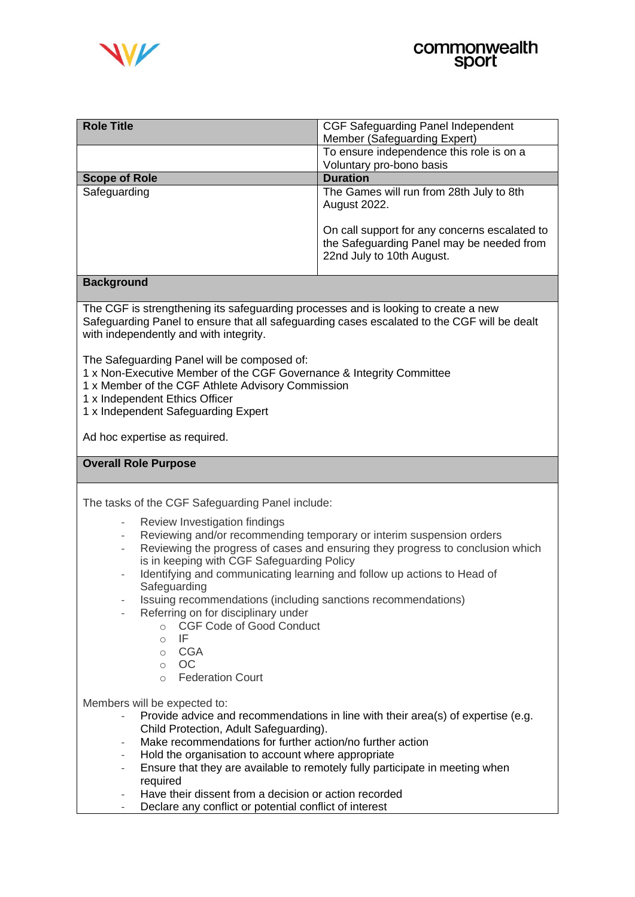

| <b>Role Title</b>    | CGF Safeguarding Panel Independent                                                                                      |
|----------------------|-------------------------------------------------------------------------------------------------------------------------|
|                      | Member (Safeguarding Expert)                                                                                            |
|                      | To ensure independence this role is on a                                                                                |
|                      | Voluntary pro-bono basis                                                                                                |
| <b>Scope of Role</b> | <b>Duration</b>                                                                                                         |
| Safeguarding         | The Games will run from 28th July to 8th<br><b>August 2022.</b>                                                         |
|                      | On call support for any concerns escalated to<br>the Safeguarding Panel may be needed from<br>22nd July to 10th August. |

# **Background**

The CGF is strengthening its safeguarding processes and is looking to create a new Safeguarding Panel to ensure that all safeguarding cases escalated to the CGF will be dealt with independently and with integrity.

The Safeguarding Panel will be composed of:

- 1 x Non-Executive Member of the CGF Governance & Integrity Committee
- 1 x Member of the CGF Athlete Advisory Commission
- 1 x Independent Ethics Officer
- 1 x Independent Safeguarding Expert

Ad hoc expertise as required.

# **Overall Role Purpose**

The tasks of the CGF Safeguarding Panel include:

- Review Investigation findings
- Reviewing and/or recommending temporary or interim suspension orders
- Reviewing the progress of cases and ensuring they progress to conclusion which is in keeping with CGF Safeguarding Policy
- Identifying and communicating learning and follow up actions to Head of Safeguarding
- Issuing recommendations (including sanctions recommendations)
	- Referring on for disciplinary under
		- o CGF Code of Good Conduct
		- o IF
		- o CGA
		- o OC
		- o Federation Court

Members will be expected to:

- Provide advice and recommendations in line with their area(s) of expertise (e.g. Child Protection, Adult Safeguarding).
- Make recommendations for further action/no further action
- Hold the organisation to account where appropriate
- Ensure that they are available to remotely fully participate in meeting when required
- Have their dissent from a decision or action recorded
- Declare any conflict or potential conflict of interest